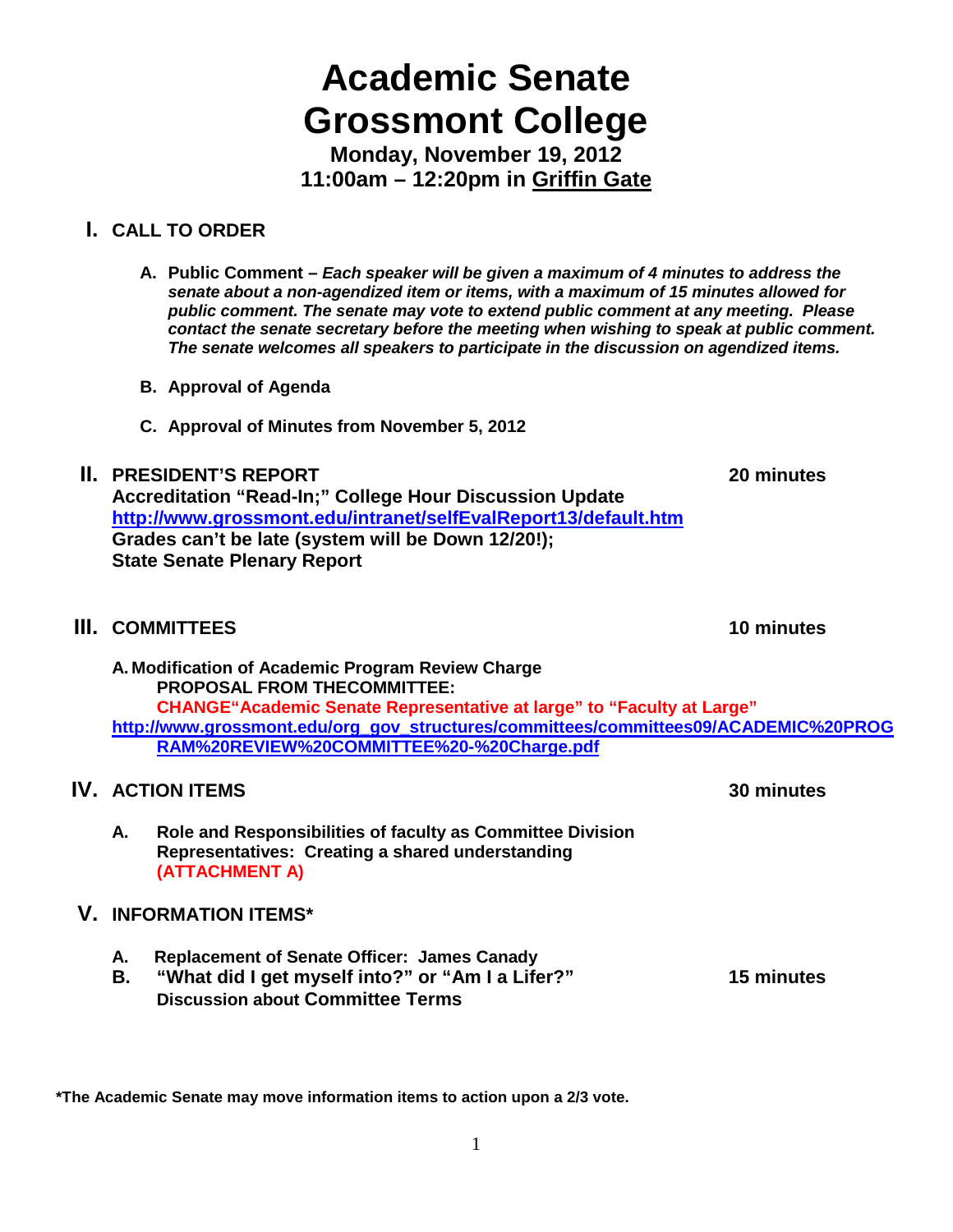# **Academic Senate Grossmont College**

**Monday, November 19, 2012 11:00am – 12:20pm in Griffin Gate**

# **I. CALL TO ORDER**

- **A. Public Comment –** *Each speaker will be given a maximum of 4 minutes to address the senate about a non-agendized item or items, with a maximum of 15 minutes allowed for public comment. The senate may vote to extend public comment at any meeting. Please contact the senate secretary before the meeting when wishing to speak at public comment. The senate welcomes all speakers to participate in the discussion on agendized items.*
- **B. Approval of Agenda**
- **C. Approval of Minutes from November 5, 2012**

### **II. PRESIDENT'S REPORT 20 minutes**

**Accreditation "Read-In;" College Hour Discussion Update <http://www.grossmont.edu/intranet/selfEvalReport13/default.htm> Grades can't be late (system will be Down 12/20!); State Senate Plenary Report**

# **III. COMMITTEES 10 minutes**

**A. Modification of Academic Program Review Charge PROPOSAL FROM THECOMMITTEE: CHANGE"Academic Senate Representative at large" to "Faculty at Large" [http://www.grossmont.edu/org\\_gov\\_structures/committees/committees09/ACADEMIC%20PROG](http://www.grossmont.edu/org_gov_structures/committees/committees09/ACADEMIC%20PROGRAM%20REVIEW%20COMMITTEE%20-%20Charge.pdf) [RAM%20REVIEW%20COMMITTEE%20-%20Charge.pdf](http://www.grossmont.edu/org_gov_structures/committees/committees09/ACADEMIC%20PROGRAM%20REVIEW%20COMMITTEE%20-%20Charge.pdf)**

# **IV. ACTION ITEMS 30 minutes**

**A. Role and Responsibilities of faculty as Committee Division Representatives: Creating a shared understanding (ATTACHMENT A)**

# **V. INFORMATION ITEMS\***

- **A. Replacement of Senate Officer: James Canady**
- **B. "What did I get myself into?" or "Am I a Lifer?" 15 minutes Discussion about Committee Terms**

**\*The Academic Senate may move information items to action upon a 2/3 vote.**